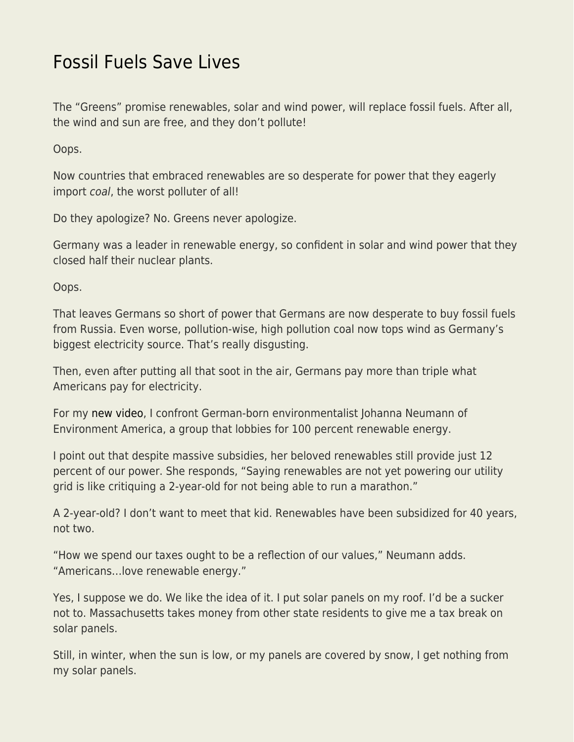## [Fossil Fuels Save Lives](https://everything-voluntary.com/fossil-fuels-save-lives)

The "Greens" promise renewables, solar and wind power, will replace fossil fuels. After all, the wind and sun are free, and they don't pollute!

Oops.

Now countries that embraced renewables are so desperate for power that they eagerly import coal, the worst polluter of all!

Do they apologize? No. Greens never apologize.

Germany was a leader in renewable energy, so confident in solar and wind power that they closed half their nuclear plants.

Oops.

That leaves Germans so short of power that Germans are now desperate to buy fossil fuels from Russia. Even worse, pollution-wise, high pollution coal now tops wind as Germany's biggest electricity source. That's really disgusting.

Then, even after putting all that soot in the air, Germans pay more than triple what Americans pay for electricity.

For my [new video,](https://www.youtube.com/watch?v=QK7EatMyTGQ) I confront German-born environmentalist Johanna Neumann of Environment America, a group that lobbies for 100 percent renewable energy.

I point out that despite massive subsidies, her beloved renewables still provide just 12 percent of our power. She responds, "Saying renewables are not yet powering our utility grid is like critiquing a 2-year-old for not being able to run a marathon."

A 2-year-old? I don't want to meet that kid. Renewables have been subsidized for 40 years, not two.

"How we spend our taxes ought to be a reflection of our values," Neumann adds. "Americans…love renewable energy."

Yes, I suppose we do. We like the idea of it. I put solar panels on my roof. I'd be a sucker not to. Massachusetts takes money from other state residents to give me a tax break on solar panels.

Still, in winter, when the sun is low, or my panels are covered by snow, I get nothing from my solar panels.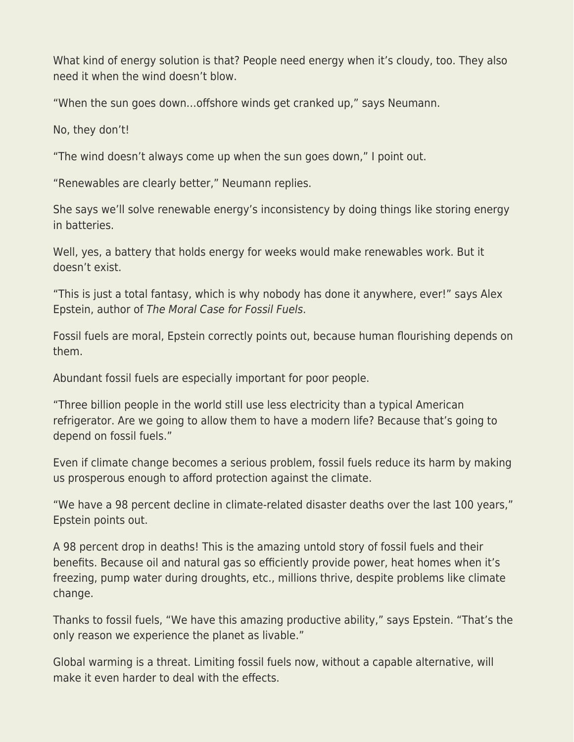What kind of energy solution is that? People need energy when it's cloudy, too. They also need it when the wind doesn't blow.

"When the sun goes down…offshore winds get cranked up," says Neumann.

No, they don't!

"The wind doesn't always come up when the sun goes down," I point out.

"Renewables are clearly better," Neumann replies.

She says we'll solve renewable energy's inconsistency by doing things like storing energy in batteries.

Well, yes, a battery that holds energy for weeks would make renewables work. But it doesn't exist.

"This is just a total fantasy, which is why nobody has done it anywhere, ever!" says Alex Epstein, author of The Moral Case for Fossil Fuels.

Fossil fuels are moral, Epstein correctly points out, because human flourishing depends on them.

Abundant fossil fuels are especially important for poor people.

"Three billion people in the world still use less electricity than a typical American refrigerator. Are we going to allow them to have a modern life? Because that's going to depend on fossil fuels."

Even if climate change becomes a serious problem, fossil fuels reduce its harm by making us prosperous enough to afford protection against the climate.

"We have a 98 percent decline in climate-related disaster deaths over the last 100 years," Epstein points out.

A 98 percent drop in deaths! This is the amazing untold story of fossil fuels and their benefits. Because oil and natural gas so efficiently provide power, heat homes when it's freezing, pump water during droughts, etc., millions thrive, despite problems like climate change.

Thanks to fossil fuels, "We have this amazing productive ability," says Epstein. "That's the only reason we experience the planet as livable."

Global warming is a threat. Limiting fossil fuels now, without a capable alternative, will make it even harder to deal with the effects.